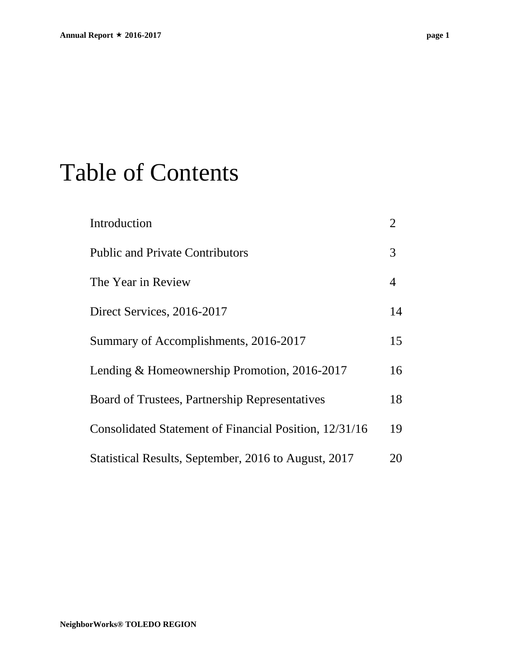## Table of Contents

| Introduction                                           | $\overline{2}$ |
|--------------------------------------------------------|----------------|
| <b>Public and Private Contributors</b>                 | 3              |
| The Year in Review                                     | 4              |
| Direct Services, 2016-2017                             | 14             |
| Summary of Accomplishments, 2016-2017                  | 15             |
| Lending & Homeownership Promotion, 2016-2017           | 16             |
| Board of Trustees, Partnership Representatives         | 18             |
| Consolidated Statement of Financial Position, 12/31/16 | 19             |
| Statistical Results, September, 2016 to August, 2017   | 20             |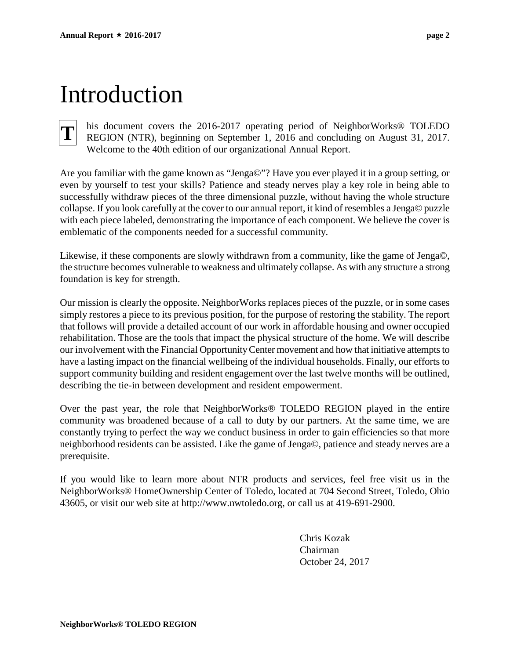## Introduction

## **T**

his document covers the 2016-2017 operating period of NeighborWorks® TOLEDO REGION (NTR), beginning on September 1, 2016 and concluding on August 31, 2017. Welcome to the 40th edition of our organizational Annual Report.

Are you familiar with the game known as "Jenga©"? Have you ever played it in a group setting, or even by yourself to test your skills? Patience and steady nerves play a key role in being able to successfully withdraw pieces of the three dimensional puzzle, without having the whole structure collapse. If you look carefully at the cover to our annual report, it kind of resembles a Jenga© puzzle with each piece labeled, demonstrating the importance of each component. We believe the cover is emblematic of the components needed for a successful community.

Likewise, if these components are slowly withdrawn from a community, like the game of Jenga©, the structure becomes vulnerable to weakness and ultimately collapse. As with any structure a strong foundation is key for strength.

Our mission is clearly the opposite. NeighborWorks replaces pieces of the puzzle, or in some cases simply restores a piece to its previous position, for the purpose of restoring the stability. The report that follows will provide a detailed account of our work in affordable housing and owner occupied rehabilitation. Those are the tools that impact the physical structure of the home. We will describe our involvement with the Financial Opportunity Center movement and how that initiative attempts to have a lasting impact on the financial wellbeing of the individual households. Finally, our efforts to support community building and resident engagement over the last twelve months will be outlined, describing the tie-in between development and resident empowerment.

Over the past year, the role that NeighborWorks® TOLEDO REGION played in the entire community was broadened because of a call to duty by our partners. At the same time, we are constantly trying to perfect the way we conduct business in order to gain efficiencies so that more neighborhood residents can be assisted. Like the game of Jenga©, patience and steady nerves are a prerequisite.

If you would like to learn more about NTR products and services, feel free visit us in the NeighborWorks® HomeOwnership Center of Toledo, located at 704 Second Street, Toledo, Ohio 43605, or visit our web site at http://www.nwtoledo.org, or call us at 419-691-2900.

> Chris Kozak Chairman October 24, 2017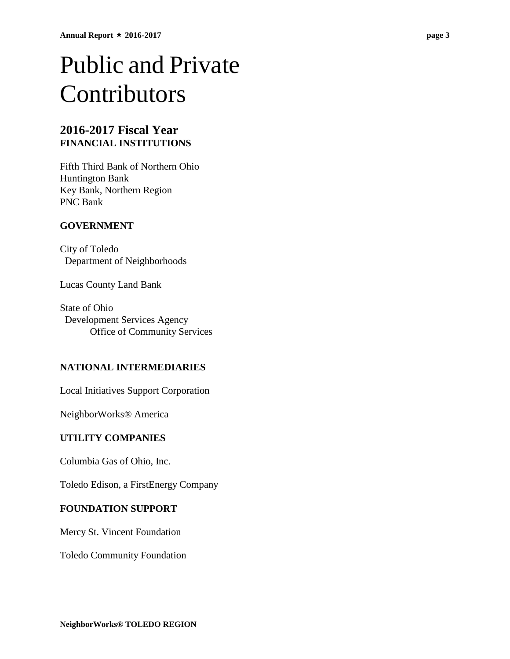## Public and Private Contributors

### **2016-2017 Fiscal Year FINANCIAL INSTITUTIONS**

Fifth Third Bank of Northern Ohio Huntington Bank Key Bank, Northern Region PNC Bank

#### **GOVERNMENT**

City of Toledo Department of Neighborhoods

Lucas County Land Bank

State of Ohio Development Services Agency Office of Community Services

#### **NATIONAL INTERMEDIARIES**

Local Initiatives Support Corporation

NeighborWorks® America

#### **UTILITY COMPANIES**

Columbia Gas of Ohio, Inc.

Toledo Edison, a FirstEnergy Company

#### **FOUNDATION SUPPORT**

Mercy St. Vincent Foundation

Toledo Community Foundation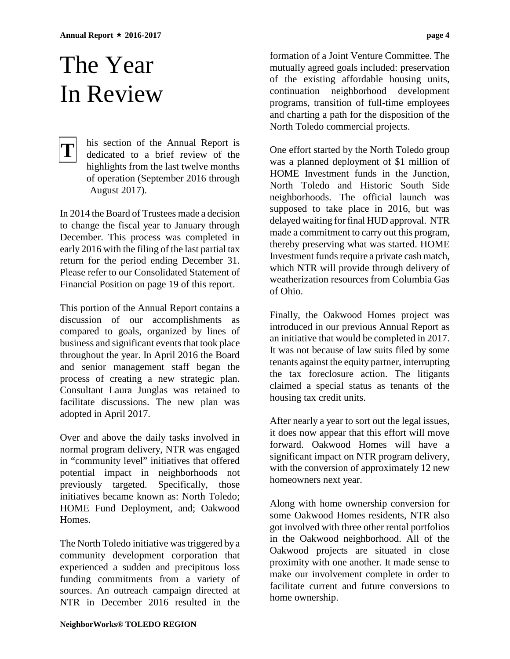## The Year In Review

#### his section of the Annual Report is dedicated to a brief review of the highlights from the last twelve months of operation (September 2016 through August 2017). **T**

In 2014 the Board of Trustees made a decision to change the fiscal year to January through December. This process was completed in early 2016 with the filing of the last partial tax return for the period ending December 31. Please refer to our Consolidated Statement of Financial Position on page 19 of this report.

This portion of the Annual Report contains a discussion of our accomplishments as compared to goals, organized by lines of business and significant events that took place throughout the year. In April 2016 the Board and senior management staff began the process of creating a new strategic plan. Consultant Laura Junglas was retained to facilitate discussions. The new plan was adopted in April 2017.

Over and above the daily tasks involved in normal program delivery, NTR was engaged in "community level" initiatives that offered potential impact in neighborhoods not previously targeted. Specifically, those initiatives became known as: North Toledo; HOME Fund Deployment, and; Oakwood Homes.

The North Toledo initiative was triggered by a community development corporation that experienced a sudden and precipitous loss funding commitments from a variety of sources. An outreach campaign directed at NTR in December 2016 resulted in the

formation of a Joint Venture Committee. The mutually agreed goals included: preservation of the existing affordable housing units, continuation neighborhood development programs, transition of full-time employees and charting a path for the disposition of the North Toledo commercial projects.

One effort started by the North Toledo group was a planned deployment of \$1 million of HOME Investment funds in the Junction, North Toledo and Historic South Side neighborhoods. The official launch was supposed to take place in 2016, but was delayed waiting for final HUD approval. NTR made a commitment to carry out this program, thereby preserving what was started. HOME Investment funds require a private cash match, which NTR will provide through delivery of weatherization resources from Columbia Gas of Ohio.

Finally, the Oakwood Homes project was introduced in our previous Annual Report as an initiative that would be completed in 2017. It was not because of law suits filed by some tenants against the equity partner, interrupting the tax foreclosure action. The litigants claimed a special status as tenants of the housing tax credit units.

After nearly a year to sort out the legal issues, it does now appear that this effort will move forward. Oakwood Homes will have a significant impact on NTR program delivery, with the conversion of approximately 12 new homeowners next year.

Along with home ownership conversion for some Oakwood Homes residents, NTR also got involved with three other rental portfolios in the Oakwood neighborhood. All of the Oakwood projects are situated in close proximity with one another. It made sense to make our involvement complete in order to facilitate current and future conversions to home ownership.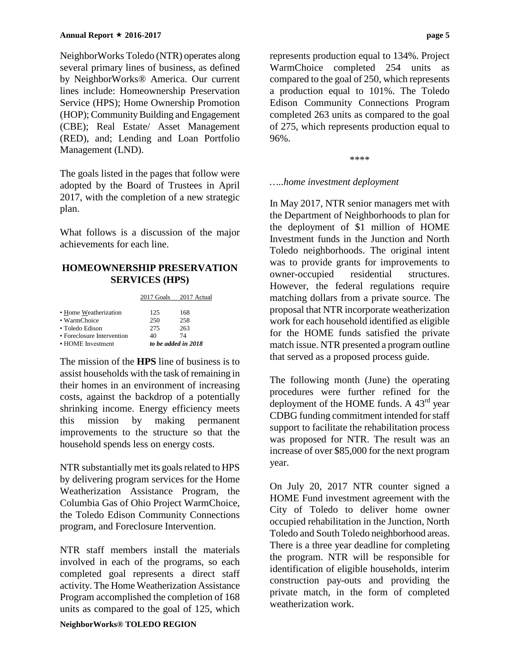NeighborWorks Toledo (NTR) operates along several primary lines of business, as defined by NeighborWorks® America. Our current lines include: Homeownership Preservation Service (HPS); Home Ownership Promotion (HOP); Community Building and Engagement (CBE); Real Estate/ Asset Management (RED), and; Lending and Loan Portfolio Management (LND).

The goals listed in the pages that follow were adopted by the Board of Trustees in April 2017, with the completion of a new strategic plan.

What follows is a discussion of the major achievements for each line.

#### **HOMEOWNERSHIP PRESERVATION SERVICES (HPS)**

2017 Goals 2017 Actual

| 125                 | 168 |  |
|---------------------|-----|--|
| 250                 | 258 |  |
| 275                 | 263 |  |
| 40                  | 74  |  |
| to be added in 2018 |     |  |
|                     |     |  |

The mission of the **HPS** line of business is to assist households with the task of remaining in their homes in an environment of increasing costs, against the backdrop of a potentially shrinking income. Energy efficiency meets this mission by making permanent improvements to the structure so that the household spends less on energy costs.

NTR substantially met its goals related to HPS by delivering program services for the Home Weatherization Assistance Program, the Columbia Gas of Ohio Project WarmChoice, the Toledo Edison Community Connections program, and Foreclosure Intervention.

NTR staff members install the materials involved in each of the programs, so each completed goal represents a direct staff activity. The Home Weatherization Assistance Program accomplished the completion of 168 units as compared to the goal of 125, which represents production equal to 134%. Project WarmChoice completed 254 units as compared to the goal of 250, which represents a production equal to 101%. The Toledo Edison Community Connections Program completed 263 units as compared to the goal of 275, which represents production equal to 96%.

\*\*\*\*

#### *…..home investment deployment*

In May 2017, NTR senior managers met with the Department of Neighborhoods to plan for the deployment of \$1 million of HOME Investment funds in the Junction and North Toledo neighborhoods. The original intent was to provide grants for improvements to owner-occupied residential structures. However, the federal regulations require matching dollars from a private source. The proposal that NTR incorporate weatherization work for each household identified as eligible for the HOME funds satisfied the private match issue. NTR presented a program outline that served as a proposed process guide.

The following month (June) the operating procedures were further refined for the deployment of the HOME funds. A  $43<sup>rd</sup>$  year CDBG funding commitment intended for staff support to facilitate the rehabilitation process was proposed for NTR. The result was an increase of over \$85,000 for the next program year.

On July 20, 2017 NTR counter signed a HOME Fund investment agreement with the City of Toledo to deliver home owner occupied rehabilitation in the Junction, North Toledo and South Toledo neighborhood areas. There is a three year deadline for completing the program. NTR will be responsible for identification of eligible households, interim construction pay-outs and providing the private match, in the form of completed weatherization work.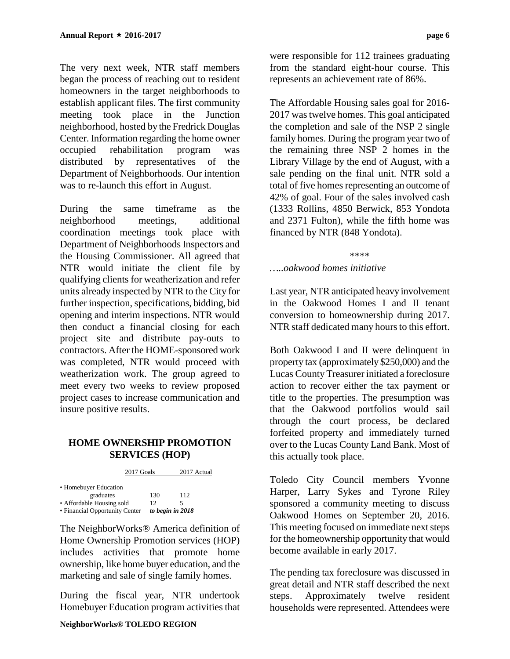The very next week, NTR staff members began the process of reaching out to resident homeowners in the target neighborhoods to establish applicant files. The first community meeting took place in the Junction neighborhood, hosted by the Fredrick Douglas Center. Information regarding the home owner occupied rehabilitation program was distributed by representatives of the Department of Neighborhoods. Our intention was to re-launch this effort in August.

During the same timeframe as the neighborhood meetings, additional coordination meetings took place with Department of Neighborhoods Inspectors and the Housing Commissioner. All agreed that NTR would initiate the client file by qualifying clients for weatherization and refer units already inspected by NTR to the City for further inspection, specifications, bidding, bid opening and interim inspections. NTR would then conduct a financial closing for each project site and distribute pay-outs to contractors. After the HOME-sponsored work was completed, NTR would proceed with weatherization work. The group agreed to meet every two weeks to review proposed project cases to increase communication and insure positive results.

#### **HOME OWNERSHIP PROMOTION SERVICES (HOP)**

|  |  | 2017 Goals |  | 2017 Actual |
|--|--|------------|--|-------------|
|--|--|------------|--|-------------|

| • Homebuyer Education          |     |                  |
|--------------------------------|-----|------------------|
| graduates                      | 130 | 112              |
| • Affordable Housing sold      | 12  | 5                |
| • Financial Opportunity Center |     | to begin in 2018 |

The NeighborWorks® America definition of Home Ownership Promotion services (HOP) includes activities that promote home ownership, like home buyer education, and the marketing and sale of single family homes.

During the fiscal year, NTR undertook Homebuyer Education program activities that

were responsible for 112 trainees graduating from the standard eight-hour course. This represents an achievement rate of 86%.

The Affordable Housing sales goal for 2016- 2017 was twelve homes. This goal anticipated the completion and sale of the NSP 2 single family homes. During the program year two of the remaining three NSP 2 homes in the Library Village by the end of August, with a sale pending on the final unit. NTR sold a total of five homes representing an outcome of 42% of goal. Four of the sales involved cash (1333 Rollins, 4850 Berwick, 853 Yondota and 2371 Fulton), while the fifth home was financed by NTR (848 Yondota).

#### \*\*\*\*

*…..oakwood homes initiative*

Last year, NTR anticipated heavy involvement in the Oakwood Homes I and II tenant conversion to homeownership during 2017. NTR staff dedicated many hours to this effort.

Both Oakwood I and II were delinquent in property tax (approximately \$250,000) and the Lucas County Treasurer initiated a foreclosure action to recover either the tax payment or title to the properties. The presumption was that the Oakwood portfolios would sail through the court process, be declared forfeited property and immediately turned over to the Lucas County Land Bank. Most of this actually took place.

Toledo City Council members Yvonne Harper, Larry Sykes and Tyrone Riley sponsored a community meeting to discuss Oakwood Homes on September 20, 2016. This meeting focused on immediate next steps for the homeownership opportunity that would become available in early 2017.

The pending tax foreclosure was discussed in great detail and NTR staff described the next steps. Approximately twelve resident households were represented. Attendees were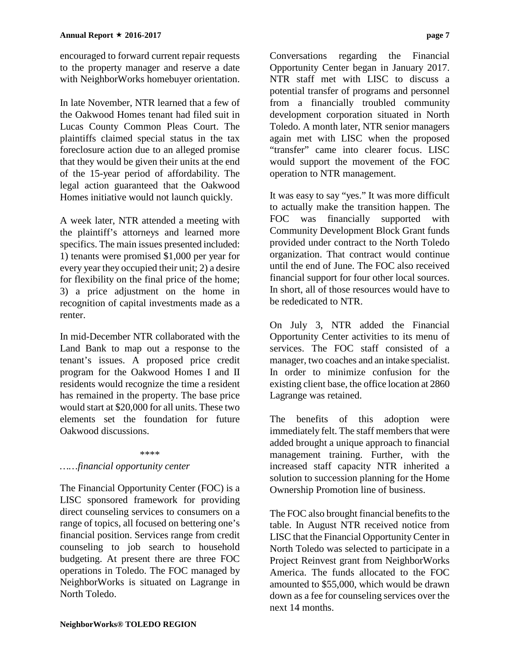encouraged to forward current repair requests to the property manager and reserve a date with NeighborWorks homebuyer orientation.

In late November, NTR learned that a few of the Oakwood Homes tenant had filed suit in Lucas County Common Pleas Court. The plaintiffs claimed special status in the tax foreclosure action due to an alleged promise that they would be given their units at the end of the 15-year period of affordability. The legal action guaranteed that the Oakwood Homes initiative would not launch quickly.

A week later, NTR attended a meeting with the plaintiff's attorneys and learned more specifics. The main issues presented included: 1) tenants were promised \$1,000 per year for every year they occupied their unit; 2) a desire for flexibility on the final price of the home; 3) a price adjustment on the home in recognition of capital investments made as a renter.

In mid-December NTR collaborated with the Land Bank to map out a response to the tenant's issues. A proposed price credit program for the Oakwood Homes I and II residents would recognize the time a resident has remained in the property. The base price would start at \$20,000 for all units. These two elements set the foundation for future Oakwood discussions.

#### \*\*\*\*

#### *……financial opportunity center*

The Financial Opportunity Center (FOC) is a LISC sponsored framework for providing direct counseling services to consumers on a range of topics, all focused on bettering one's financial position. Services range from credit counseling to job search to household budgeting. At present there are three FOC operations in Toledo. The FOC managed by NeighborWorks is situated on Lagrange in North Toledo.

Conversations regarding the Financial Opportunity Center began in January 2017. NTR staff met with LISC to discuss a potential transfer of programs and personnel from a financially troubled community development corporation situated in North Toledo. A month later, NTR senior managers again met with LISC when the proposed "transfer" came into clearer focus. LISC would support the movement of the FOC operation to NTR management.

It was easy to say "yes." It was more difficult to actually make the transition happen. The FOC was financially supported with Community Development Block Grant funds provided under contract to the North Toledo organization. That contract would continue until the end of June. The FOC also received financial support for four other local sources. In short, all of those resources would have to be rededicated to NTR.

On July 3, NTR added the Financial Opportunity Center activities to its menu of services. The FOC staff consisted of a manager, two coaches and an intake specialist. In order to minimize confusion for the existing client base, the office location at 2860 Lagrange was retained.

The benefits of this adoption were immediately felt. The staff members that were added brought a unique approach to financial management training. Further, with the increased staff capacity NTR inherited a solution to succession planning for the Home Ownership Promotion line of business.

The FOC also brought financial benefits to the table. In August NTR received notice from LISC that the Financial Opportunity Center in North Toledo was selected to participate in a Project Reinvest grant from NeighborWorks America. The funds allocated to the FOC amounted to \$55,000, which would be drawn down as a fee for counseling services over the next 14 months.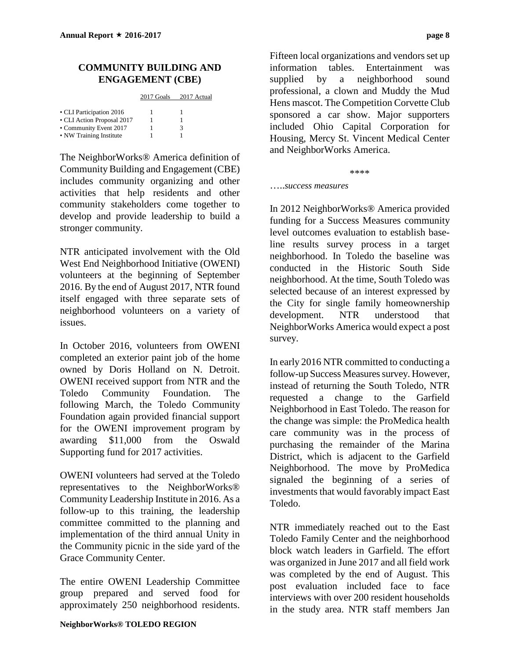#### **COMMUNITY BUILDING AND ENGAGEMENT (CBE)**

2017 Goals 2017 Actual

| • CLI Participation 2016   |   |
|----------------------------|---|
| • CLI Action Proposal 2017 |   |
| • Community Event 2017     | 3 |
| • NW Training Institute    |   |

The NeighborWorks® America definition of Community Building and Engagement (CBE) includes community organizing and other activities that help residents and other community stakeholders come together to develop and provide leadership to build a stronger community.

NTR anticipated involvement with the Old West End Neighborhood Initiative (OWENI) volunteers at the beginning of September 2016. By the end of August 2017, NTR found itself engaged with three separate sets of neighborhood volunteers on a variety of issues.

In October 2016, volunteers from OWENI completed an exterior paint job of the home owned by Doris Holland on N. Detroit. OWENI received support from NTR and the Toledo Community Foundation. The following March, the Toledo Community Foundation again provided financial support for the OWENI improvement program by awarding \$11,000 from the Oswald Supporting fund for 2017 activities.

OWENI volunteers had served at the Toledo representatives to the NeighborWorks® Community Leadership Institute in 2016. As a follow-up to this training, the leadership committee committed to the planning and implementation of the third annual Unity in the Community picnic in the side yard of the Grace Community Center.

The entire OWENI Leadership Committee group prepared and served food for approximately 250 neighborhood residents.

Fifteen local organizations and vendors set up information tables. Entertainment was supplied by a neighborhood sound professional, a clown and Muddy the Mud Hens mascot. The Competition Corvette Club sponsored a car show. Major supporters included Ohio Capital Corporation for Housing, Mercy St. Vincent Medical Center and NeighborWorks America.

\*\*\*\*

…..*success measures*

In 2012 NeighborWorks® America provided funding for a Success Measures community level outcomes evaluation to establish baseline results survey process in a target neighborhood. In Toledo the baseline was conducted in the Historic South Side neighborhood. At the time, South Toledo was selected because of an interest expressed by the City for single family homeownership development. NTR understood that NeighborWorks America would expect a post survey.

In early 2016 NTR committed to conducting a follow-up Success Measures survey. However, instead of returning the South Toledo, NTR requested a change to the Garfield Neighborhood in East Toledo. The reason for the change was simple: the ProMedica health care community was in the process of purchasing the remainder of the Marina District, which is adjacent to the Garfield Neighborhood. The move by ProMedica signaled the beginning of a series of investments that would favorably impact East Toledo.

NTR immediately reached out to the East Toledo Family Center and the neighborhood block watch leaders in Garfield. The effort was organized in June 2017 and all field work was completed by the end of August. This post evaluation included face to face interviews with over 200 resident households in the study area. NTR staff members Jan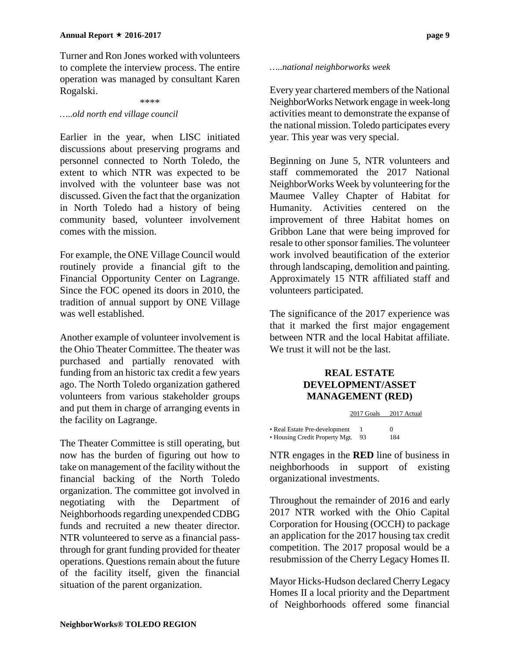Turner and Ron Jones worked with volunteers to complete the interview process. The entire operation was managed by consultant Karen Rogalski.

#### \*\*\*\*

#### *…..old north end village council*

Earlier in the year, when LISC initiated discussions about preserving programs and personnel connected to North Toledo, the extent to which NTR was expected to be involved with the volunteer base was not discussed. Given the fact that the organization in North Toledo had a history of being community based, volunteer involvement comes with the mission.

For example, the ONE Village Council would routinely provide a financial gift to the Financial Opportunity Center on Lagrange. Since the FOC opened its doors in 2010, the tradition of annual support by ONE Village was well established.

Another example of volunteer involvement is the Ohio Theater Committee. The theater was purchased and partially renovated with funding from an historic tax credit a few years ago. The North Toledo organization gathered volunteers from various stakeholder groups and put them in charge of arranging events in the facility on Lagrange.

The Theater Committee is still operating, but now has the burden of figuring out how to take on management of the facility without the financial backing of the North Toledo organization. The committee got involved in negotiating with the Department of Neighborhoods regarding unexpended CDBG funds and recruited a new theater director. NTR volunteered to serve as a financial passthrough for grant funding provided for theater operations. Questions remain about the future of the facility itself, given the financial situation of the parent organization.

#### *…..national neighborworks week*

Every year chartered members of the National NeighborWorks Network engage in week-long activities meant to demonstrate the expanse of the national mission. Toledo participates every year. This year was very special.

Beginning on June 5, NTR volunteers and staff commemorated the 2017 National NeighborWorks Week by volunteering for the Maumee Valley Chapter of Habitat for Humanity. Activities centered on the improvement of three Habitat homes on Gribbon Lane that were being improved for resale to other sponsor families. The volunteer work involved beautification of the exterior through landscaping, demolition and painting. Approximately 15 NTR affiliated staff and volunteers participated.

The significance of the 2017 experience was that it marked the first major engagement between NTR and the local Habitat affiliate. We trust it will not be the last.

#### **REAL ESTATE DEVELOPMENT/ASSET MANAGEMENT (RED)**

|                                | 2017 Goals | 2017 Actual  |
|--------------------------------|------------|--------------|
|                                |            | $\mathbf{0}$ |
| • Real Estate Pre-development  |            |              |
| • Housing Credit Property Mgt. | 93         | 184          |

NTR engages in the **RED** line of business in neighborhoods in support of existing organizational investments.

Throughout the remainder of 2016 and early 2017 NTR worked with the Ohio Capital Corporation for Housing (OCCH) to package an application for the 2017 housing tax credit competition. The 2017 proposal would be a resubmission of the Cherry Legacy Homes II.

Mayor Hicks-Hudson declared Cherry Legacy Homes II a local priority and the Department of Neighborhoods offered some financial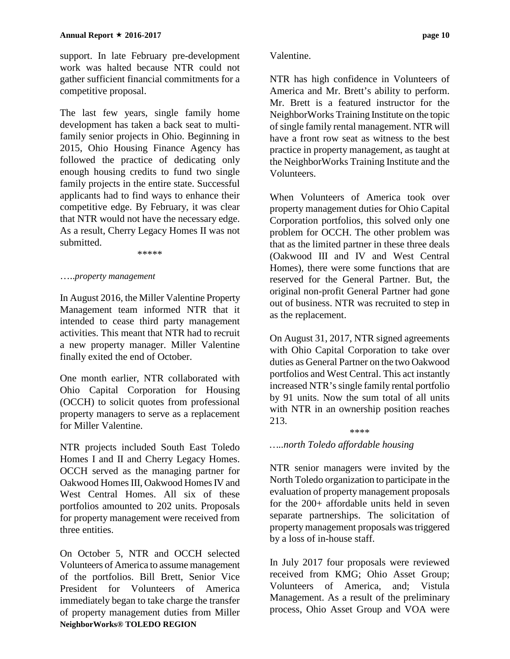support. In late February pre-development work was halted because NTR could not gather sufficient financial commitments for a competitive proposal.

The last few years, single family home development has taken a back seat to multifamily senior projects in Ohio. Beginning in 2015, Ohio Housing Finance Agency has followed the practice of dedicating only enough housing credits to fund two single family projects in the entire state. Successful applicants had to find ways to enhance their competitive edge. By February, it was clear that NTR would not have the necessary edge. As a result, Cherry Legacy Homes II was not submitted.

\*\*\*\*\*

#### …..*property management*

In August 2016, the Miller Valentine Property Management team informed NTR that it intended to cease third party management activities. This meant that NTR had to recruit a new property manager. Miller Valentine finally exited the end of October.

One month earlier, NTR collaborated with Ohio Capital Corporation for Housing (OCCH) to solicit quotes from professional property managers to serve as a replacement for Miller Valentine.

NTR projects included South East Toledo Homes I and II and Cherry Legacy Homes. OCCH served as the managing partner for Oakwood Homes III, Oakwood Homes IV and West Central Homes. All six of these portfolios amounted to 202 units. Proposals for property management were received from three entities.

**NeighborWorks® TOLEDO REGION** On October 5, NTR and OCCH selected Volunteers of America to assume management of the portfolios. Bill Brett, Senior Vice President for Volunteers of America immediately began to take charge the transfer of property management duties from Miller

#### Valentine.

NTR has high confidence in Volunteers of America and Mr. Brett's ability to perform. Mr. Brett is a featured instructor for the NeighborWorks Training Institute on the topic of single family rental management. NTR will have a front row seat as witness to the best practice in property management, as taught at the NeighborWorks Training Institute and the Volunteers.

When Volunteers of America took over property management duties for Ohio Capital Corporation portfolios, this solved only one problem for OCCH. The other problem was that as the limited partner in these three deals (Oakwood III and IV and West Central Homes), there were some functions that are reserved for the General Partner. But, the original non-profit General Partner had gone out of business. NTR was recruited to step in as the replacement.

On August 31, 2017, NTR signed agreements with Ohio Capital Corporation to take over duties as General Partner on the two Oakwood portfolios and West Central. This act instantly increased NTR's single family rental portfolio by 91 units. Now the sum total of all units with NTR in an ownership position reaches 213.

\*\*\*\*

#### *…..north Toledo affordable housing*

NTR senior managers were invited by the North Toledo organization to participate in the evaluation of property management proposals for the 200+ affordable units held in seven separate partnerships. The solicitation of property management proposals was triggered by a loss of in-house staff.

In July 2017 four proposals were reviewed received from KMG; Ohio Asset Group; Volunteers of America, and; Vistula Management. As a result of the preliminary process, Ohio Asset Group and VOA were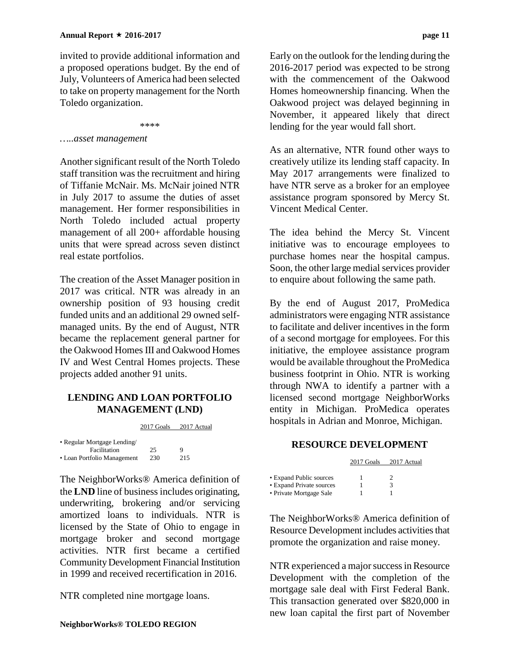invited to provide additional information and a proposed operations budget. By the end of July, Volunteers of America had been selected to take on property management for the North Toledo organization.

\*\*\*\*

#### *…..asset management*

Another significant result of the North Toledo staff transition was the recruitment and hiring of Tiffanie McNair. Ms. McNair joined NTR in July 2017 to assume the duties of asset management. Her former responsibilities in North Toledo included actual property management of all 200+ affordable housing units that were spread across seven distinct real estate portfolios.

The creation of the Asset Manager position in 2017 was critical. NTR was already in an ownership position of 93 housing credit funded units and an additional 29 owned selfmanaged units. By the end of August, NTR became the replacement general partner for the Oakwood Homes III and Oakwood Homes IV and West Central Homes projects. These projects added another 91 units.

#### **LENDING AND LOAN PORTFOLIO MANAGEMENT (LND)**

2017 Goals 2017 Actual

| • Regular Mortgage Lending/ |     |     |
|-----------------------------|-----|-----|
| Facilitation                | 25  | Q   |
| • Loan Portfolio Management | 230 | 215 |

The NeighborWorks® America definition of the **LND** line of business includes originating, underwriting, brokering and/or servicing amortized loans to individuals. NTR is licensed by the State of Ohio to engage in mortgage broker and second mortgage activities. NTR first became a certified Community Development Financial Institution in 1999 and received recertification in 2016.

NTR completed nine mortgage loans.

Early on the outlook for the lending during the 2016-2017 period was expected to be strong with the commencement of the Oakwood Homes homeownership financing. When the Oakwood project was delayed beginning in November, it appeared likely that direct lending for the year would fall short.

As an alternative, NTR found other ways to creatively utilize its lending staff capacity. In May 2017 arrangements were finalized to have NTR serve as a broker for an employee assistance program sponsored by Mercy St. Vincent Medical Center.

The idea behind the Mercy St. Vincent initiative was to encourage employees to purchase homes near the hospital campus. Soon, the other large medial services provider to enquire about following the same path.

By the end of August 2017, ProMedica administrators were engaging NTR assistance to facilitate and deliver incentives in the form of a second mortgage for employees. For this initiative, the employee assistance program would be available throughout the ProMedica business footprint in Ohio. NTR is working through NWA to identify a partner with a licensed second mortgage NeighborWorks entity in Michigan. ProMedica operates hospitals in Adrian and Monroe, Michigan.

#### **RESOURCE DEVELOPMENT**

|                          | 2017 Goals | 2017 Actual |
|--------------------------|------------|-------------|
| • Expand Public sources  |            |             |
| • Expand Private sources |            | 3           |
| • Private Mortgage Sale  |            |             |

The NeighborWorks® America definition of Resource Development includes activities that promote the organization and raise money.

NTR experienced a major successin Resource Development with the completion of the mortgage sale deal with First Federal Bank. This transaction generated over \$820,000 in new loan capital the first part of November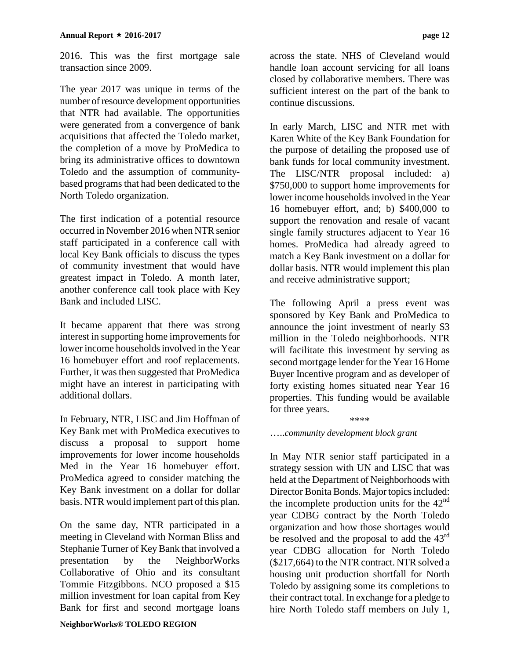2016. This was the first mortgage sale transaction since 2009.

The year 2017 was unique in terms of the number of resource development opportunities that NTR had available. The opportunities were generated from a convergence of bank acquisitions that affected the Toledo market, the completion of a move by ProMedica to bring its administrative offices to downtown Toledo and the assumption of communitybased programs that had been dedicated to the North Toledo organization.

The first indication of a potential resource occurred in November 2016 when NTR senior staff participated in a conference call with local Key Bank officials to discuss the types of community investment that would have greatest impact in Toledo. A month later, another conference call took place with Key Bank and included LISC.

It became apparent that there was strong interest in supporting home improvements for lower income households involved in the Year 16 homebuyer effort and roof replacements. Further, it was then suggested that ProMedica might have an interest in participating with additional dollars.

In February, NTR, LISC and Jim Hoffman of Key Bank met with ProMedica executives to discuss a proposal to support home improvements for lower income households Med in the Year 16 homebuyer effort. ProMedica agreed to consider matching the Key Bank investment on a dollar for dollar basis. NTR would implement part of this plan.

On the same day, NTR participated in a meeting in Cleveland with Norman Bliss and Stephanie Turner of Key Bank that involved a presentation by the NeighborWorks Collaborative of Ohio and its consultant Tommie Fitzgibbons. NCO proposed a \$15 million investment for loan capital from Key Bank for first and second mortgage loans

across the state. NHS of Cleveland would handle loan account servicing for all loans closed by collaborative members. There was sufficient interest on the part of the bank to continue discussions.

In early March, LISC and NTR met with Karen White of the Key Bank Foundation for the purpose of detailing the proposed use of bank funds for local community investment. The LISC/NTR proposal included: a) \$750,000 to support home improvements for lower income households involved in the Year 16 homebuyer effort, and; b) \$400,000 to support the renovation and resale of vacant single family structures adjacent to Year 16 homes. ProMedica had already agreed to match a Key Bank investment on a dollar for dollar basis. NTR would implement this plan and receive administrative support;

The following April a press event was sponsored by Key Bank and ProMedica to announce the joint investment of nearly \$3 million in the Toledo neighborhoods. NTR will facilitate this investment by serving as second mortgage lender for the Year 16 Home Buyer Incentive program and as developer of forty existing homes situated near Year 16 properties. This funding would be available for three years.

\*\*\*\*

#### …..*community development block grant*

In May NTR senior staff participated in a strategy session with UN and LISC that was held at the Department of Neighborhoods with Director Bonita Bonds. Major topics included: the incomplete production units for the  $42<sup>nd</sup>$ year CDBG contract by the North Toledo organization and how those shortages would be resolved and the proposal to add the  $43<sup>rd</sup>$ year CDBG allocation for North Toledo (\$217,664) to the NTR contract. NTR solved a housing unit production shortfall for North Toledo by assigning some its completions to their contract total. In exchange for a pledge to hire North Toledo staff members on July 1,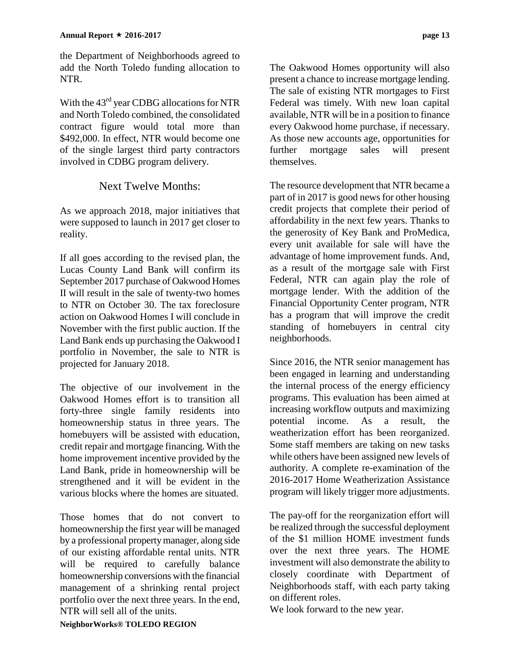the Department of Neighborhoods agreed to add the North Toledo funding allocation to NTR.

With the 43<sup>rd</sup> year CDBG allocations for NTR and North Toledo combined, the consolidated contract figure would total more than \$492,000. In effect, NTR would become one of the single largest third party contractors involved in CDBG program delivery.

#### Next Twelve Months:

As we approach 2018, major initiatives that were supposed to launch in 2017 get closer to reality.

If all goes according to the revised plan, the Lucas County Land Bank will confirm its September 2017 purchase of Oakwood Homes II will result in the sale of twenty-two homes to NTR on October 30. The tax foreclosure action on Oakwood Homes I will conclude in November with the first public auction. If the Land Bank ends up purchasing the Oakwood I portfolio in November, the sale to NTR is projected for January 2018.

The objective of our involvement in the Oakwood Homes effort is to transition all forty-three single family residents into homeownership status in three years. The homebuyers will be assisted with education, credit repair and mortgage financing. With the home improvement incentive provided by the Land Bank, pride in homeownership will be strengthened and it will be evident in the various blocks where the homes are situated.

Those homes that do not convert to homeownership the first year will be managed by a professional property manager, along side of our existing affordable rental units. NTR will be required to carefully balance homeownership conversions with the financial management of a shrinking rental project portfolio over the next three years. In the end, NTR will sell all of the units.

The Oakwood Homes opportunity will also present a chance to increase mortgage lending. The sale of existing NTR mortgages to First Federal was timely. With new loan capital available, NTR will be in a position to finance every Oakwood home purchase, if necessary. As those new accounts age, opportunities for further mortgage sales will present themselves.

The resource development that NTR became a part of in 2017 is good news for other housing credit projects that complete their period of affordability in the next few years. Thanks to the generosity of Key Bank and ProMedica, every unit available for sale will have the advantage of home improvement funds. And, as a result of the mortgage sale with First Federal, NTR can again play the role of mortgage lender. With the addition of the Financial Opportunity Center program, NTR has a program that will improve the credit standing of homebuyers in central city neighborhoods.

Since 2016, the NTR senior management has been engaged in learning and understanding the internal process of the energy efficiency programs. This evaluation has been aimed at increasing workflow outputs and maximizing potential income. As a result, the weatherization effort has been reorganized. Some staff members are taking on new tasks while others have been assigned new levels of authority. A complete re-examination of the 2016-2017 Home Weatherization Assistance program will likely trigger more adjustments.

The pay-off for the reorganization effort will be realized through the successful deployment of the \$1 million HOME investment funds over the next three years. The HOME investment will also demonstrate the ability to closely coordinate with Department of Neighborhoods staff, with each party taking on different roles.

We look forward to the new year.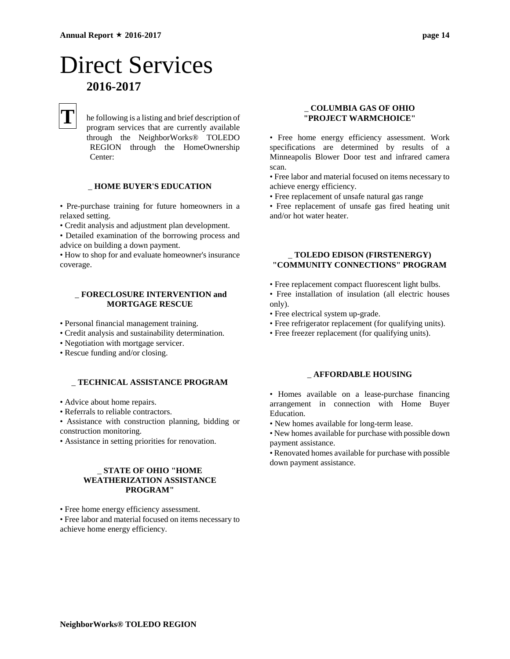## Direct Services **2016-2017**

## **T**

he following is a listing and brief description of program services that are currently available through the NeighborWorks® TOLEDO REGION through the HomeOwnership Center:

#### \_ **HOME BUYER'S EDUCATION**

• Pre-purchase training for future homeowners in a relaxed setting.

• Credit analysis and adjustment plan development.

• Detailed examination of the borrowing process and advice on building a down payment.

• How to shop for and evaluate homeowner's insurance coverage.

#### \_ **FORECLOSURE INTERVENTION and MORTGAGE RESCUE**

- Personal financial management training.
- Credit analysis and sustainability determination.
- Negotiation with mortgage servicer.
- Rescue funding and/or closing.

#### \_ **TECHNICAL ASSISTANCE PROGRAM**

- Advice about home repairs.
- Referrals to reliable contractors.

• Assistance with construction planning, bidding or construction monitoring.

• Assistance in setting priorities for renovation.

#### \_ **STATE OF OHIO "HOME WEATHERIZATION ASSISTANCE PROGRAM"**

• Free home energy efficiency assessment.

• Free labor and material focused on items necessary to achieve home energy efficiency.

#### \_ **COLUMBIA GAS OF OHIO "PROJECT WARMCHOICE"**

• Free home energy efficiency assessment. Work specifications are determined by results of a Minneapolis Blower Door test and infrared camera scan.

• Free labor and material focused on items necessary to achieve energy efficiency.

• Free replacement of unsafe natural gas range

• Free replacement of unsafe gas fired heating unit and/or hot water heater.

#### \_ **TOLEDO EDISON (FIRSTENERGY) "COMMUNITY CONNECTIONS" PROGRAM**

- Free replacement compact fluorescent light bulbs.
- Free installation of insulation (all electric houses only).
- Free electrical system up-grade.
- Free refrigerator replacement (for qualifying units).
- Free freezer replacement (for qualifying units).

#### \_ **AFFORDABLE HOUSING**

• Homes available on a lease-purchase financing arrangement in connection with Home Buyer Education.

- New homes available for long-term lease.
- New homes available for purchase with possible down payment assistance.

• Renovated homes available for purchase with possible down payment assistance.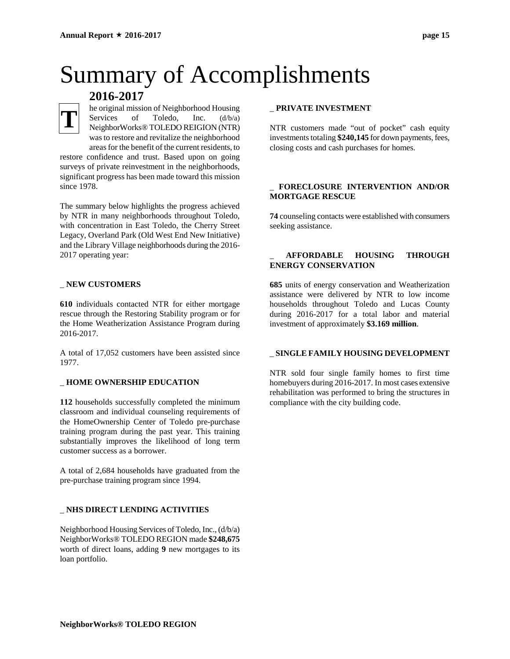# Summary of Accomplishments

### **2016-2017**

**T**

he original mission of Neighborhood Housing Services of Toledo, Inc. (d/b/a) NeighborWorks® TOLEDO REIGION (NTR) was to restore and revitalize the neighborhood areas for the benefit of the current residents, to

restore confidence and trust. Based upon on going surveys of private reinvestment in the neighborhoods, significant progress has been made toward this mission since 1978.

The summary below highlights the progress achieved by NTR in many neighborhoods throughout Toledo, with concentration in East Toledo, the Cherry Street Legacy, Overland Park (Old West End New Initiative) and the Library Village neighborhoods during the 2016- 2017 operating year:

#### \_ **NEW CUSTOMERS**

**610** individuals contacted NTR for either mortgage rescue through the Restoring Stability program or for the Home Weatherization Assistance Program during 2016-2017.

A total of 17,052 customers have been assisted since 1977.

#### \_ **HOME OWNERSHIP EDUCATION**

**112** households successfully completed the minimum classroom and individual counseling requirements of the HomeOwnership Center of Toledo pre-purchase training program during the past year. This training substantially improves the likelihood of long term customer success as a borrower.

A total of 2,684 households have graduated from the pre-purchase training program since 1994.

#### \_ **NHS DIRECT LENDING ACTIVITIES**

Neighborhood Housing Services of Toledo, Inc., (d/b/a) NeighborWorks® TOLEDO REGION made **\$248,675** worth of direct loans, adding **9** new mortgages to its loan portfolio.

#### \_ **PRIVATE INVESTMENT**

NTR customers made "out of pocket" cash equity investments totaling **\$240,145** for down payments, fees, closing costs and cash purchases for homes.

#### \_ **FORECLOSURE INTERVENTION AND/OR MORTGAGE RESCUE**

**74** counseling contacts were established with consumers seeking assistance.

#### \_ **AFFORDABLE HOUSING THROUGH ENERGY CONSERVATION**

**685** units of energy conservation and Weatherization assistance were delivered by NTR to low income households throughout Toledo and Lucas County during 2016-2017 for a total labor and material investment of approximately **\$3.169 million**.

#### \_ **SINGLE FAMILY HOUSING DEVELOPMENT**

NTR sold four single family homes to first time homebuyers during 2016-2017. In most cases extensive rehabilitation was performed to bring the structures in compliance with the city building code.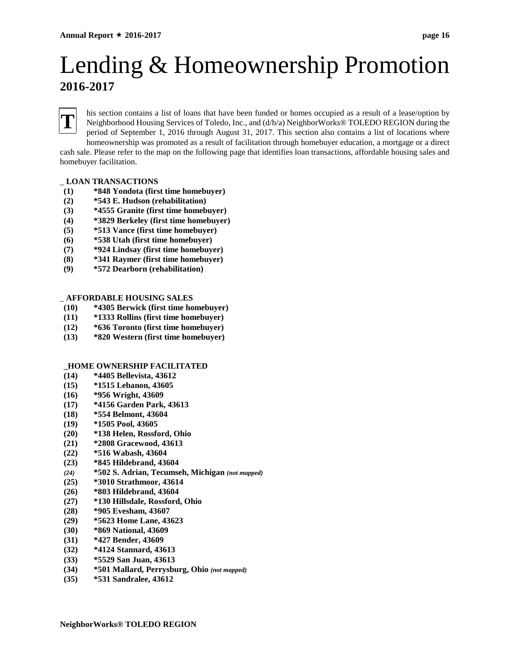## Lending & Homeownership Promotion **2016-2017**



his section contains a list of loans that have been funded or homes occupied as a result of a lease/option by Neighborhood Housing Services of Toledo, Inc., and (d/b/a) NeighborWorks® TOLEDO REGION during the period of September 1, 2016 through August 31, 2017. This section also contains a list of locations where homeownership was promoted as a result of facilitation through homebuyer education, a mortgage or a direct

cash sale. Please refer to the map on the following page that identifies loan transactions, affordable housing sales and homebuyer facilitation.

#### \_ **LOAN TRANSACTIONS**

- **(1) \*848 Yondota (first time homebuyer)**
- **(2) \*543 E. Hudson (rehabilitation)**
- **(3) \*4555 Granite (first time homebuyer)**
- **(4) \*3829 Berkeley (first time homebuyer)**
- **(5) \*513 Vance (first time homebuyer)**
- **(6) \*538 Utah (first time homebuyer)**
- **(7) \*924 Lindsay (first time homebuyer)**
- **(8) \*341 Raymer (first time homebuyer)**
- **(9) \*572 Dearborn (rehabilitation)**

#### \_ **AFFORDABLE HOUSING SALES**

- **(10) \*4305 Berwick (first time homebuyer)**
- **(11) \*1333 Rollins (first time homebuyer)**
- **(12) \*636 Toronto (first time homebuyer)**
- **(13) \*820 Western (first time homebuyer)**

#### **\_HOME OWNERSHIP FACILITATED**

- **(14) \*4405 Bellevista, 43612**
- **(15) \*1515 Lebanon, 43605**
- **(16) \*956 Wright, 43609**
- **(17) \*4156 Garden Park, 43613**
- **(18) \*554 Belmont, 43604**
- **(19) \*1505 Pool, 43605**
- **(20) \*138 Helen, Rossford, Ohio**
- **(21) \*2808 Gracewood, 43613**
- **(22) \*516 Wabash, 43604**
- **(23) \*845 Hildebrand, 43604**
- *(24)* **\*502 S. Adrian, Tecumseh, Michigan** *(not mapped)*
- **(25) \*3010 Strathmoor, 43614**
- **(26) \*803 Hildebrand, 43604**
- **(27) \*130 Hillsdale, Rossford, Ohio**
- **(28) \*905 Evesham, 43607**
- **(29) \*5623 Home Lane, 43623**
- **(30) \*869 National, 43609**
- **(31) \*427 Bender, 43609**
- **(32) \*4124 Stannard, 43613**
- **(33) \*5529 San Juan, 43613**
- **(34) \*501 Mallard, Perrysburg, Ohio** *(not mapped)*
- **(35) \*531 Sandralee, 43612**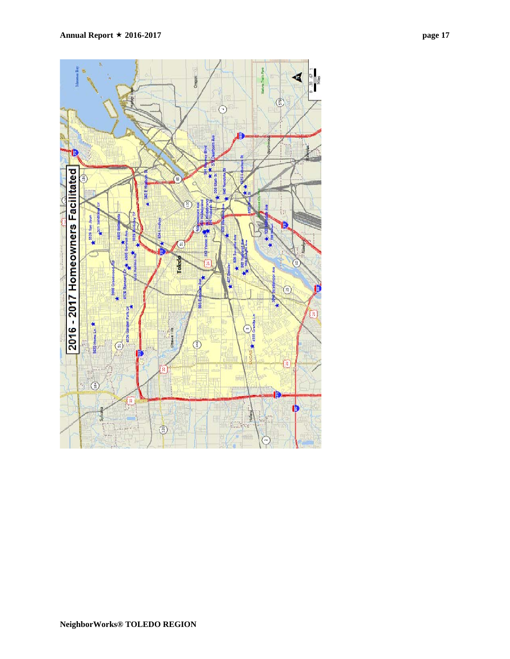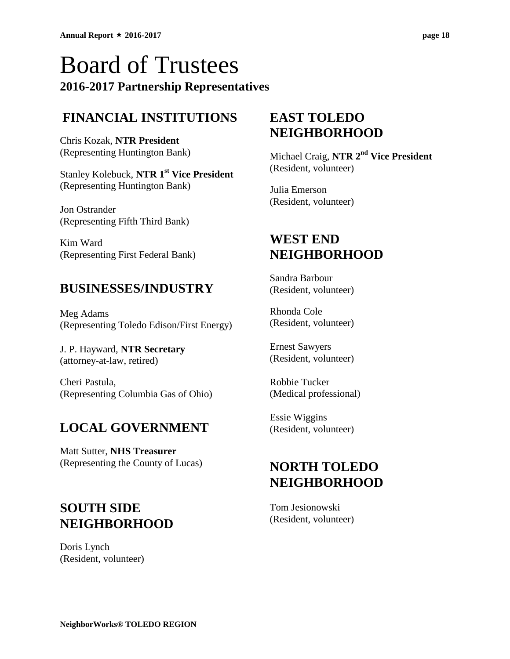## Board of Trustees **2016-2017 Partnership Representatives**

### **FINANCIAL INSTITUTIONS**

Chris Kozak, **NTR President** (Representing Huntington Bank)

Stanley Kolebuck, **NTR 1st Vice President** (Representing Huntington Bank)

Jon Ostrander (Representing Fifth Third Bank)

Kim Ward (Representing First Federal Bank)

### **BUSINESSES/INDUSTRY**

Meg Adams (Representing Toledo Edison/First Energy)

J. P. Hayward, **NTR Secretary** (attorney-at-law, retired)

Cheri Pastula, (Representing Columbia Gas of Ohio)

## **LOCAL GOVERNMENT**

Matt Sutter, **NHS Treasurer** (Representing the County of Lucas)

## **SOUTH SIDE NEIGHBORHOOD**

Doris Lynch (Resident, volunteer)

### **EAST TOLEDO NEIGHBORHOOD**

Michael Craig, **NTR 2nd Vice President** (Resident, volunteer)

Julia Emerson (Resident, volunteer)

### **WEST END NEIGHBORHOOD**

Sandra Barbour (Resident, volunteer)

Rhonda Cole (Resident, volunteer)

Ernest Sawyers (Resident, volunteer)

Robbie Tucker (Medical professional)

Essie Wiggins (Resident, volunteer)

### **NORTH TOLEDO NEIGHBORHOOD**

Tom Jesionowski (Resident, volunteer)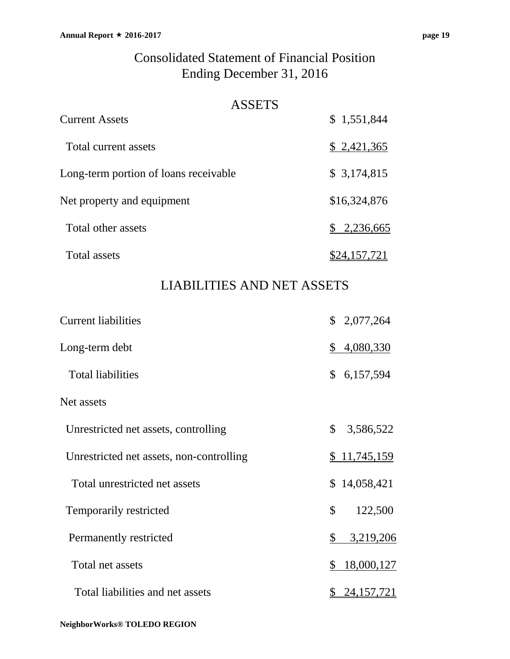#### ASSETS

| <b>Current Assets</b>                 | \$1,551,844          |
|---------------------------------------|----------------------|
| Total current assets                  | \$2,421,365          |
| Long-term portion of loans receivable | \$3,174,815          |
| Net property and equipment            | \$16,324,876         |
| Total other assets                    | \$2,236,665          |
| <b>Total assets</b>                   | \$24 <u>,157,721</u> |

### LIABILITIES AND NET ASSETS

| <b>Current liabilities</b>               |                | \$2,077,264  |
|------------------------------------------|----------------|--------------|
| Long-term debt                           | \$             | 4,080,330    |
| <b>Total liabilities</b>                 | $\mathbb{S}^-$ | 6,157,594    |
| Net assets                               |                |              |
| Unrestricted net assets, controlling     | $\mathbb{S}^-$ | 3,586,522    |
| Unrestricted net assets, non-controlling |                | \$11,745,159 |
| Total unrestricted net assets            |                | \$14,058,421 |
| Temporarily restricted                   | \$             | 122,500      |
| Permanently restricted                   | \$             | 3,219,206    |
| Total net assets                         | \$             | 18,000,127   |
| Total liabilities and net assets         |                | 24, 157, 721 |